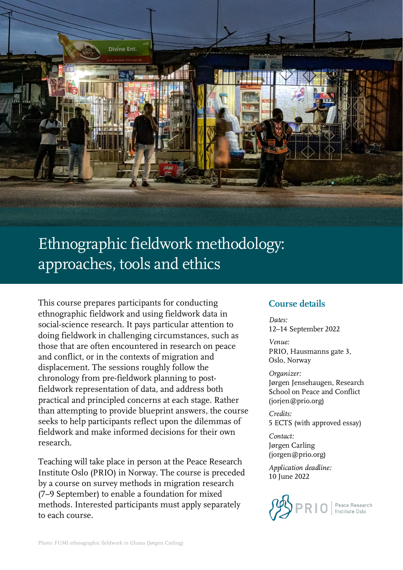

# Ethnographic fieldwork methodology: approaches, tools and ethics

This course prepares participants for conducting ethnographic fieldwork and using fieldwork data in social-science research. It pays particular attention to doing fieldwork in challenging circumstances, such as those that are often encountered in research on peace and conflict, or in the contexts of migration and displacement. The sessions roughly follow the chronology from pre-fieldwork planning to postfieldwork representation of data, and address both practical and principled concerns at each stage. Rather than attempting to provide blueprint answers, the course seeks to help participants reflect upon the dilemmas of fieldwork and make informed decisions for their own research.

Teaching will take place in person at the Peace Research Institute Oslo (PRIO) in Norway. The course is preceded by a course on survey methods in migration research (7–9 September) to enable a foundation for mixed methods. Interested participants must apply separately to each course.

## **Course details**

*Dates:*  12–14 September 2022

*Venue:* PRIO, Hausmanns gate 3, Oslo, Norway

*Organizer:*

Jørgen Jensehaugen, Research School on Peace and Conflict (jorjen@prio.org)

*Credits:* 5 ECTS (with approved essay)

*Contact:* Jørgen Carling (jorgen@prio.org)

*Application deadline:* 10 June 2022

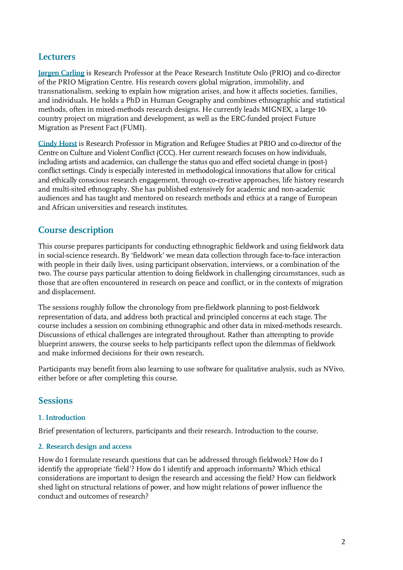## **Lecturers**

**[Jørgen Carling](https://prio.org/people/5122)** is Research Professor at the Peace Research Institute Oslo (PRIO) and co-director of the PRIO Migration Centre. His research covers global migration, immobility, and transnationalism, seeking to explain how migration arises, and how it affects societies, families, and individuals. He holds a PhD in Human Geography and combines ethnographic and statistical methods, often in mixed-methods research designs. He currently leads MIGNEX, a large 10 country project on migration and development, as well as the ERC-funded project Future Migration as Present Fact (FUMI).

**[Cindy](https://www.prio.org/people/4969) Horst** is Research Professor in Migration and Refugee Studies at PRIO and co-director of the Centre on Culture and Violent Conflict (CCC). Her current research focuses on how individuals, including artists and academics, can challenge the status quo and effect societal change in (post-) conflict settings. Cindy is especially interested in methodological innovations that allow for critical and ethically conscious research engagement, through co-creative approaches, life history research and multi-sited ethnography. She has published extensively for academic and non-academic audiences and has taught and mentored on research methods and ethics at a range of European and African universities and research institutes.

# **Course description**

This course prepares participants for conducting ethnographic fieldwork and using fieldwork data in social-science research. By 'fieldwork' we mean data collection through face-to-face interaction with people in their daily lives, using participant observation, interviews, or a combination of the two. The course pays particular attention to doing fieldwork in challenging circumstances, such as those that are often encountered in research on peace and conflict, or in the contexts of migration and displacement.

The sessions roughly follow the chronology from pre-fieldwork planning to post-fieldwork representation of data, and address both practical and principled concerns at each stage. The course includes a session on combining ethnographic and other data in mixed-methods research. Discussions of ethical challenges are integrated throughout. Rather than attempting to provide blueprint answers, the course seeks to help participants reflect upon the dilemmas of fieldwork and make informed decisions for their own research.

Participants may benefit from also learning to use software for qualitative analysis, such as NVivo, either before or after completing this course.

## **Sessions**

### **1. Introduction**

Brief presentation of lecturers, participants and their research. Introduction to the course.

#### **2. Research design and access**

How do I formulate research questions that can be addressed through fieldwork? How do I identify the appropriate 'field'? How do I identify and approach informants? Which ethical considerations are important to design the research and accessing the field? How can fieldwork shed light on structural relations of power, and how might relations of power influence the conduct and outcomes of research?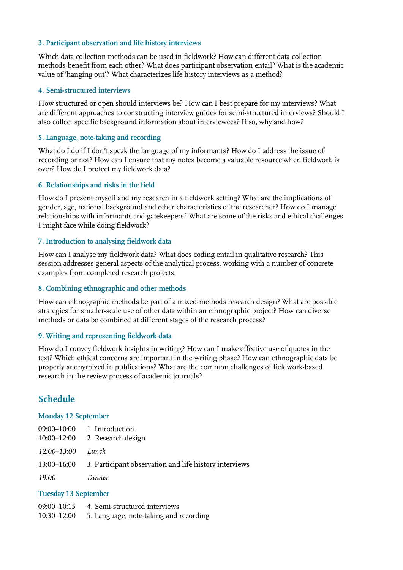#### **3. Participant observation and life history interviews**

Which data collection methods can be used in fieldwork? How can different data collection methods benefit from each other? What does participant observation entail? What is the academic value of 'hanging out'? What characterizes life history interviews as a method?

#### **4. Semi-structured interviews**

How structured or open should interviews be? How can I best prepare for my interviews? What are different approaches to constructing interview guides for semi-structured interviews? Should I also collect specific background information about interviewees? If so, why and how?

#### **5. Language, note-taking and recording**

What do I do if I don't speak the language of my informants? How do I address the issue of recording or not? How can I ensure that my notes become a valuable resource when fieldwork is over? How do I protect my fieldwork data?

#### **6. Relationships and risks in the field**

How do I present myself and my research in a fieldwork setting? What are the implications of gender, age, national background and other characteristics of the researcher? How do I manage relationships with informants and gatekeepers? What are some of the risks and ethical challenges I might face while doing fieldwork?

#### **7. Introduction to analysing fieldwork data**

How can I analyse my fieldwork data? What does coding entail in qualitative research? This session addresses general aspects of the analytical process, working with a number of concrete examples from completed research projects.

#### **8. Combining ethnographic and other methods**

How can ethnographic methods be part of a mixed-methods research design? What are possible strategies for smaller-scale use of other data within an ethnographic project? How can diverse methods or data be combined at different stages of the research process?

#### **9. Writing and representing fieldwork data**

How do I convey fieldwork insights in writing? How can I make effective use of quotes in the text? Which ethical concerns are important in the writing phase? How can ethnographic data be properly anonymized in publications? What are the common challenges of fieldwork-based research in the review process of academic journals?

## **Schedule**

#### **Monday 12 September**

| 10:00–12:00       | $09:00-10:00$ 1. Introduction<br>2. Research design                |
|-------------------|--------------------------------------------------------------------|
| 12:00–13:00 Lunch |                                                                    |
|                   | 13:00–16:00 3. Participant observation and life history interviews |
| 19:00             | Dinner                                                             |

#### **Tuesday 13 September**

|             | 09:00–10:15 4. Semi-structured interviews |
|-------------|-------------------------------------------|
| 10:30–12:00 | 5. Language, note-taking and recording    |